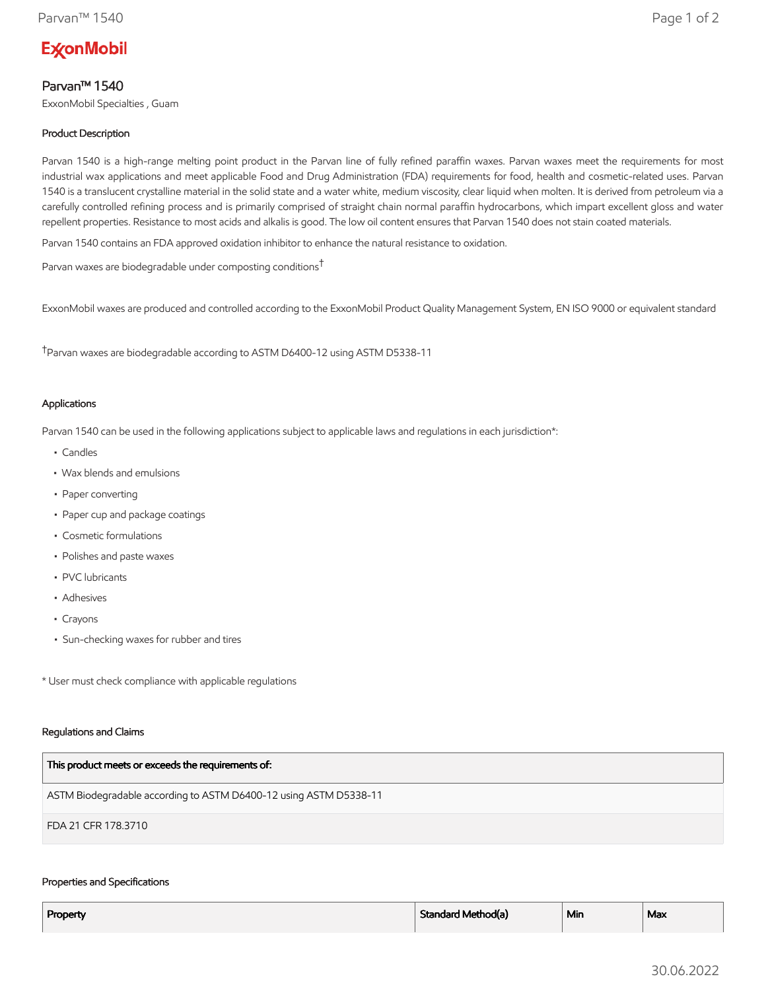# **ExconMobil**

## Parvan™ 1540

ExxonMobil Specialties , Guam

### Product Description

Parvan 1540 is a high-range melting point product in the Parvan line of fully refined paraffin waxes. Parvan waxes meet the requirements for most industrial wax applications and meet applicable Food and Drug Administration (FDA) requirements for food, health and cosmetic-related uses. Parvan 1540 is a translucent crystalline material in the solid state and a water white, medium viscosity, clear liquid when molten. It is derived from petroleum via a carefully controlled refining process and is primarily comprised of straight chain normal paraffin hydrocarbons, which impart excellent gloss and water repellent properties. Resistance to most acids and alkalis is good. The low oil content ensures that Parvan 1540 does not stain coated materials.

Parvan 1540 contains an FDA approved oxidation inhibitor to enhance the natural resistance to oxidation.

Parvan waxes are biodegradable under composting conditions†

ExxonMobil waxes are produced and controlled according to the ExxonMobil Product Quality Management System, EN ISO 9000 or equivalent standard

†Parvan waxes are biodegradable according to ASTM D6400-12 using ASTM D5338-11

#### Applications

Parvan 1540 can be used in the following applications subject to applicable laws and regulations in each jurisdiction\*:

- Candles
- Wax blends and emulsions
- Paper converting
- Paper cup and package coatings
- Cosmetic formulations
- Polishes and paste waxes
- PVC lubricants
- Adhesives
- Crayons
- Sun-checking waxes for rubber and tires

\* User must check compliance with applicable regulations

#### Regulations and Claims

| This product meets or exceeds the requirements of:                |
|-------------------------------------------------------------------|
| ASTM Biodegradable according to ASTM D6400-12 using ASTM D5338-11 |
| FDA 21 CFR 178.3710                                               |

#### Properties and Specifications

| Property | Standard Method(a) | <sup>1</sup> Min | Max |
|----------|--------------------|------------------|-----|
|          |                    |                  |     |